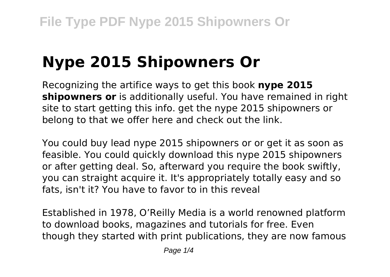# **Nype 2015 Shipowners Or**

Recognizing the artifice ways to get this book **nype 2015 shipowners or** is additionally useful. You have remained in right site to start getting this info. get the nype 2015 shipowners or belong to that we offer here and check out the link.

You could buy lead nype 2015 shipowners or or get it as soon as feasible. You could quickly download this nype 2015 shipowners or after getting deal. So, afterward you require the book swiftly, you can straight acquire it. It's appropriately totally easy and so fats, isn't it? You have to favor to in this reveal

Established in 1978, O'Reilly Media is a world renowned platform to download books, magazines and tutorials for free. Even though they started with print publications, they are now famous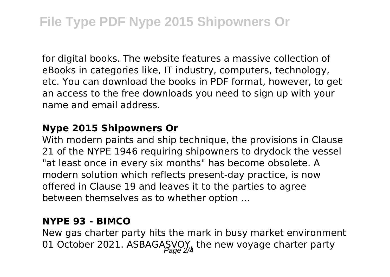for digital books. The website features a massive collection of eBooks in categories like, IT industry, computers, technology, etc. You can download the books in PDF format, however, to get an access to the free downloads you need to sign up with your name and email address.

#### **Nype 2015 Shipowners Or**

With modern paints and ship technique, the provisions in Clause 21 of the NYPE 1946 requiring shipowners to drydock the vessel "at least once in every six months" has become obsolete. A modern solution which reflects present-day practice, is now offered in Clause 19 and leaves it to the parties to agree between themselves as to whether option ...

### **NYPE 93 - BIMCO**

New gas charter party hits the mark in busy market environment 01 October 2021. ASBAGASVOY, the new voyage charter party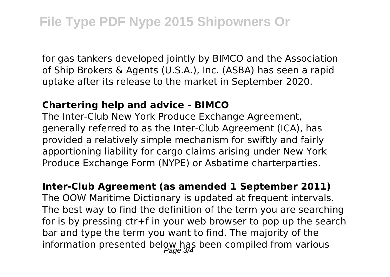for gas tankers developed jointly by BIMCO and the Association of Ship Brokers & Agents (U.S.A.), Inc. (ASBA) has seen a rapid uptake after its release to the market in September 2020.

### **Chartering help and advice - BIMCO**

The Inter-Club New York Produce Exchange Agreement, generally referred to as the Inter-Club Agreement (ICA), has provided a relatively simple mechanism for swiftly and fairly apportioning liability for cargo claims arising under New York Produce Exchange Form (NYPE) or Asbatime charterparties.

### **Inter-Club Agreement (as amended 1 September 2011)**

The OOW Maritime Dictionary is updated at frequent intervals. The best way to find the definition of the term you are searching for is by pressing ctr+f in your web browser to pop up the search bar and type the term you want to find. The majority of the information presented below has been compiled from various